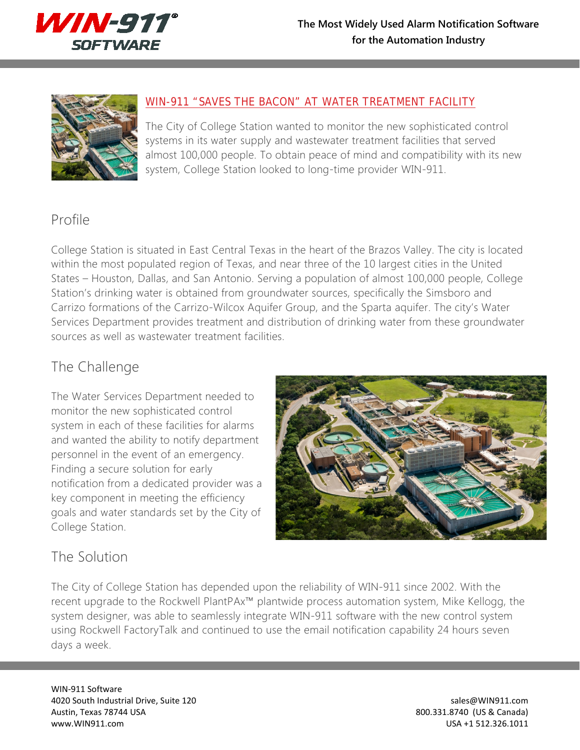



## [WIN-911 "SAVES THE BACON" AT WATER TREATMENT](http://www.win911.com/win-911-reducing-manpower-and-maintenance-in-water-treatment-facility/) FACILITY

The City of College Station wanted to monitor the new sophisticated control systems in its water supply and wastewater treatment facilities that served almost 100,000 people. To obtain peace of mind and compatibility with its new system, College Station looked to long-time provider WIN-911.

## Profile

College Station is situated in East Central Texas in the heart of the Brazos Valley. The city is located within the most populated region of Texas, and near three of the 10 largest cities in the United States – Houston, Dallas, and San Antonio. Serving a population of almost 100,000 people, College Station's drinking water is obtained from groundwater sources, specifically the Simsboro and Carrizo formations of the Carrizo-Wilcox Aquifer Group, and the Sparta aquifer. The city's Water Services Department provides treatment and distribution of drinking water from these groundwater sources as well as wastewater treatment facilities.

## The Challenge

The Water Services Department needed to monitor the new sophisticated control system in each of these facilities for alarms and wanted the ability to notify department personnel in the event of an emergency. Finding a secure solution for early notification from a dedicated provider was a key component in meeting the efficiency goals and water standards set by the City of College Station.



## The Solution

The City of College Station has depended upon the reliability of WIN-911 since 2002. With the recent upgrade to the Rockwell PlantPAx™ plantwide process automation system, Mike Kellogg, the system designer, was able to seamlessly integrate WIN-911 software with the new control system using Rockwell FactoryTalk and continued to use the email notification capability 24 hours seven days a week.

WIN-911 Software 4020 South Industrial Drive, Suite 120 sales@WIN911.com Austin, Texas 78744 USA 800.331.8740 (US & Canada) www.WIN911.com USA +1 512.326.1011